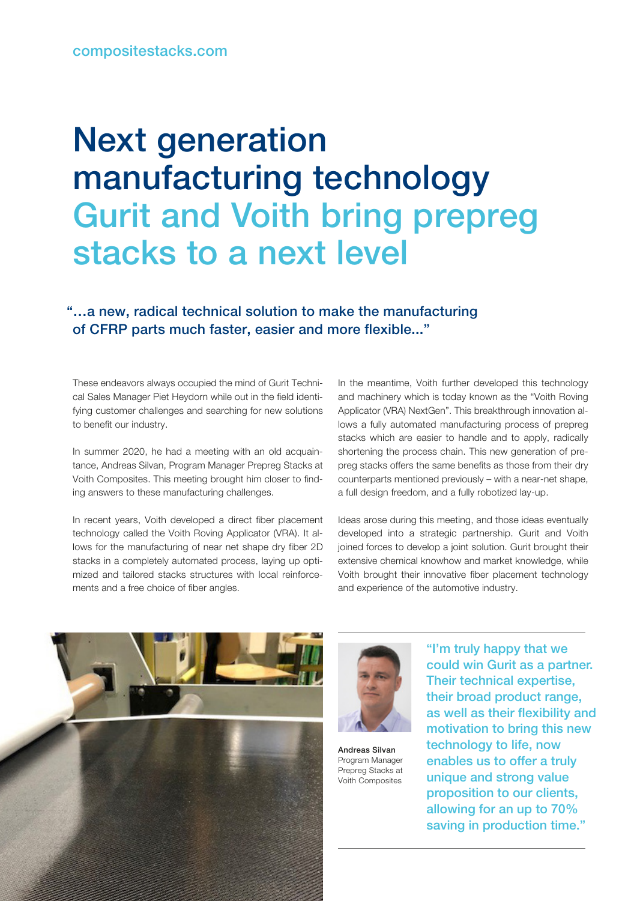## Next generation manufacturing technology Gurit and Voith bring prepreg stacks to a next level

## "…a new, radical technical solution to make the manufacturing of CFRP parts much faster, easier and more flexible..."

These endeavors always occupied the mind of Gurit Technical Sales Manager Piet Heydorn while out in the field identifying customer challenges and searching for new solutions to benefit our industry.

In summer 2020, he had a meeting with an old acquaintance, Andreas Silvan, Program Manager Prepreg Stacks at Voith Composites. This meeting brought him closer to finding answers to these manufacturing challenges.

In recent years, Voith developed a direct fiber placement technology called the Voith Roving Applicator (VRA). It allows for the manufacturing of near net shape dry fiber 2D stacks in a completely automated process, laying up optimized and tailored stacks structures with local reinforcements and a free choice of fiber angles.

In the meantime, Voith further developed this technology and machinery which is today known as the "Voith Roving Applicator (VRA) NextGen". This breakthrough innovation allows a fully automated manufacturing process of prepreg stacks which are easier to handle and to apply, radically shortening the process chain. This new generation of prepreg stacks offers the same benefits as those from their dry counterparts mentioned previously – with a near-net shape, a full design freedom, and a fully robotized lay-up.

Ideas arose during this meeting, and those ideas eventually developed into a strategic partnership. Gurit and Voith joined forces to develop a joint solution. Gurit brought their extensive chemical knowhow and market knowledge, while Voith brought their innovative fiber placement technology and experience of the automotive industry.





Andreas Silvan Program Manager Prepreg Stacks at Voith Composites

"I'm truly happy that we could win Gurit as a partner. Their technical expertise, their broad product range, as well as their flexibility and motivation to bring this new technology to life, now enables us to offer a truly unique and strong value proposition to our clients, allowing for an up to 70% saving in production time."